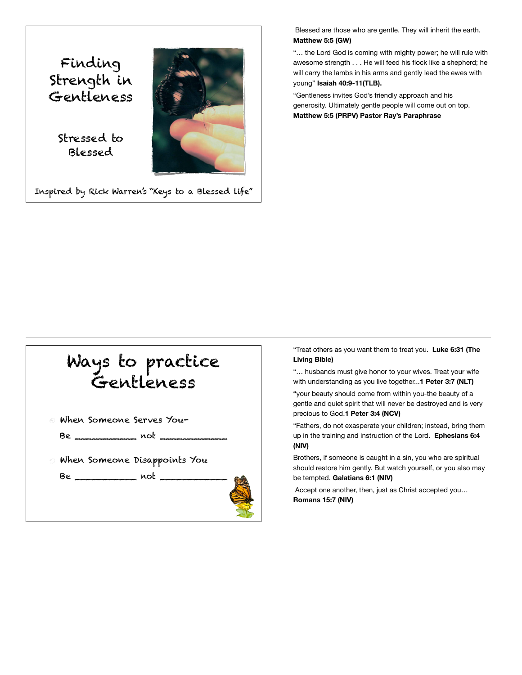Finding Strength in Gentleness

> Stressed to Blessed

Inspired by Rick Warren's "Keys to a Blessed life"

 Blessed are those who are gentle. They will inherit the earth. **Matthew 5:5 (GW)**

"… the Lord God is coming with mighty power; he will rule with awesome strength . . . He will feed his flock like a shepherd; he will carry the lambs in his arms and gently lead the ewes with young" **Isaiah 40:9-11(TLB).**

"Gentleness invites God's friendly approach and his generosity. Ultimately gentle people will come out on top. **Matthew 5:5 (PRPV) Pastor Ray's Paraphrase**



"Treat others as you want them to treat you. **Luke 6:31 (The Living Bible)** 

"… husbands must give honor to your wives. Treat your wife with understanding as you live together...**1 Peter 3:7 (NLT)** 

**"**your beauty should come from within you-the beauty of a gentle and quiet spirit that will never be destroyed and is very precious to God.**1 Peter 3:4 (NCV)** 

"Fathers, do not exasperate your children; instead, bring them up in the training and instruction of the Lord. **Ephesians 6:4 (NIV)** 

Brothers, if someone is caught in a sin, you who are spiritual should restore him gently. But watch yourself, or you also may be tempted. **Galatians 6:1 (NIV)** 

 Accept one another, then, just as Christ accepted you… **Romans 15:7 (NIV)**